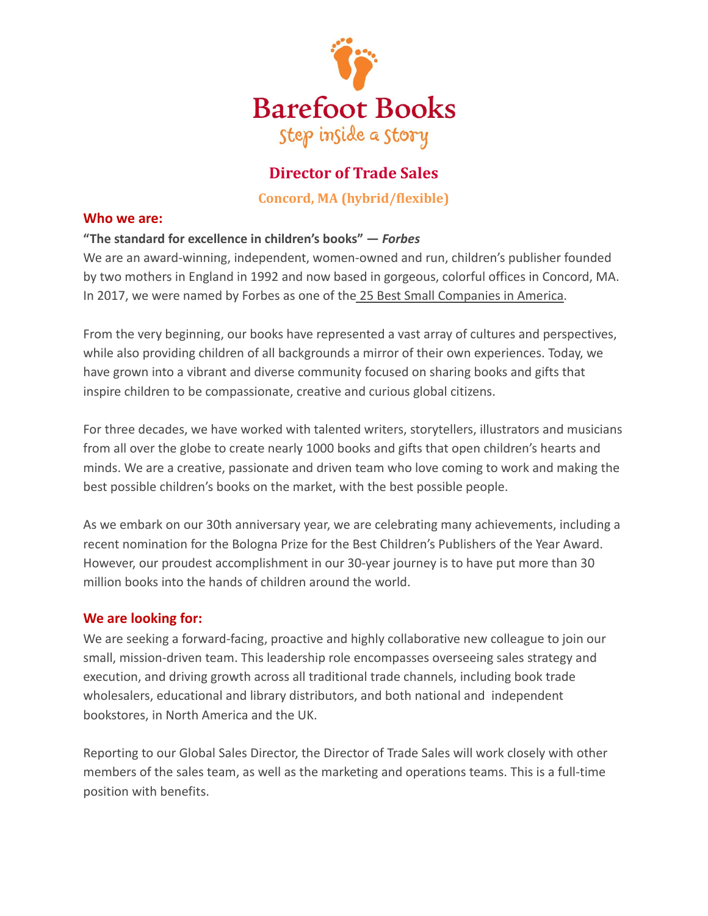

# **Director of Trade Sales**

**Concord, MA (hybrid/flexible)**

### **Who we are:**

# **"The standard for excellence in children's books" —** *Forbes*

We are an award-winning, independent, women-owned and run, children's publisher founded by two mothers in England in 1992 and now based in gorgeous, colorful offices in Concord, MA. In 2017, we were named by Forbes as one of the 25 [Best Small Companies in America.](http://www.barefootbooks.com/about-us/press-and-awards/)

From the very beginning, our books have represented a vast array of cultures and perspectives, while also providing children of all backgrounds a mirror of their own experiences. Today, we have grown into a vibrant and diverse community focused on sharing books and gifts that inspire children to be compassionate, creative and curious global citizens.

For three decades, we have worked with talented writers, storytellers, illustrators and musicians from all over the globe to create nearly 1000 books and gifts that open children's hearts and minds. We are a creative, passionate and driven team who love coming to work and making the best possible children's books on the market, with the best possible people.

As we embark on our 30th anniversary year, we are celebrating many achievements, including a recent nomination for the Bologna Prize for the Best Children's Publishers of the Year Award. However, our proudest accomplishment in our 30-year journey is to have put more than 30 million books into the hands of children around the world.

## **We are looking for:**

We are seeking a forward-facing, proactive and highly collaborative new colleague to join our small, mission-driven team. This leadership role encompasses overseeing sales strategy and execution, and driving growth across all traditional trade channels, including book trade wholesalers, educational and library distributors, and both national and independent bookstores, in North America and the UK.

Reporting to our Global Sales Director, the Director of Trade Sales will work closely with other members of the sales team, as well as the marketing and operations teams. This is a full-time position with benefits.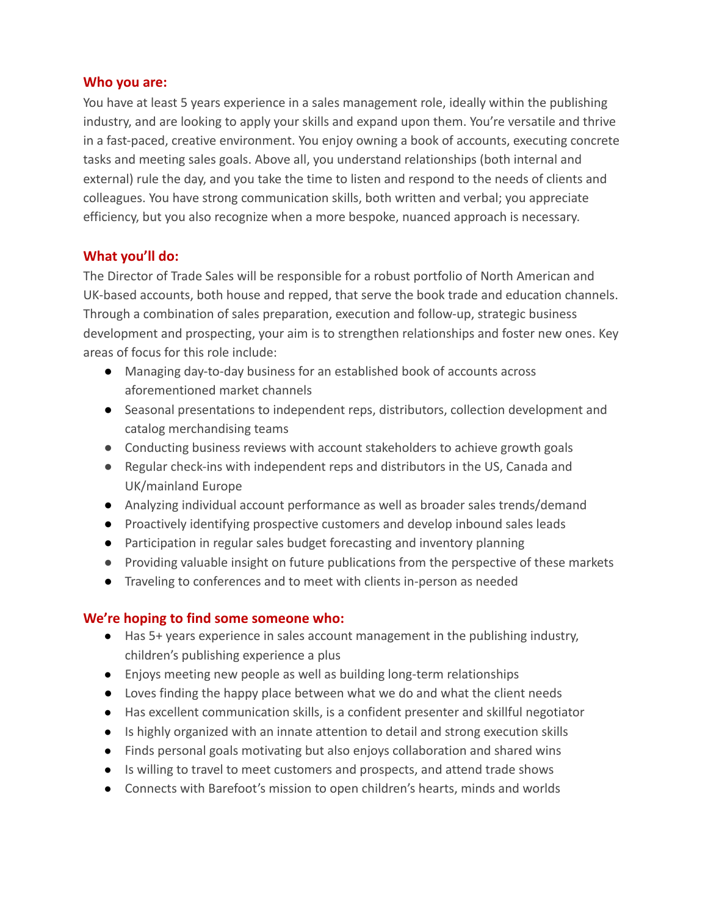#### **Who you are:**

You have at least 5 years experience in a sales management role, ideally within the publishing industry, and are looking to apply your skills and expand upon them. You're versatile and thrive in a fast-paced, creative environment. You enjoy owning a book of accounts, executing concrete tasks and meeting sales goals. Above all, you understand relationships (both internal and external) rule the day, and you take the time to listen and respond to the needs of clients and colleagues. You have strong communication skills, both written and verbal; you appreciate efficiency, but you also recognize when a more bespoke, nuanced approach is necessary.

# **What you'll do:**

The Director of Trade Sales will be responsible for a robust portfolio of North American and UK-based accounts, both house and repped, that serve the book trade and education channels. Through a combination of sales preparation, execution and follow-up, strategic business development and prospecting, your aim is to strengthen relationships and foster new ones. Key areas of focus for this role include:

- Managing day-to-day business for an established book of accounts across aforementioned market channels
- Seasonal presentations to independent reps, distributors, collection development and catalog merchandising teams
- Conducting business reviews with account stakeholders to achieve growth goals
- Regular check-ins with independent reps and distributors in the US, Canada and UK/mainland Europe
- Analyzing individual account performance as well as broader sales trends/demand
- Proactively identifying prospective customers and develop inbound sales leads
- Participation in regular sales budget forecasting and inventory planning
- Providing valuable insight on future publications from the perspective of these markets
- Traveling to conferences and to meet with clients in-person as needed

## **We're hoping to find some someone who:**

- Has 5+ years experience in sales account management in the publishing industry, children's publishing experience a plus
- Enjoys meeting new people as well as building long-term relationships
- Loves finding the happy place between what we do and what the client needs
- Has excellent communication skills, is a confident presenter and skillful negotiator
- Is highly organized with an innate attention to detail and strong execution skills
- Finds personal goals motivating but also enjoys collaboration and shared wins
- Is willing to travel to meet customers and prospects, and attend trade shows
- Connects with Barefoot's mission to open children's hearts, minds and worlds